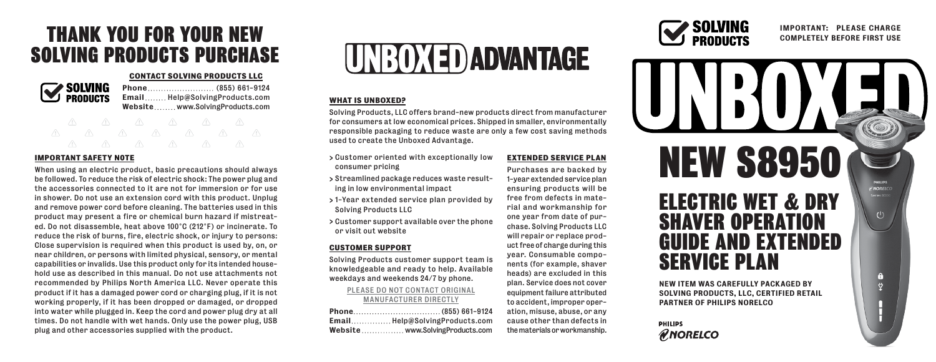## THANK YOU FOR YOUR NEW SOLVING PRODUCTS PURCHASE

### **CONTACT SOLVING PRODUCTS LLC**



Phone ... ... ... ... ... ... ... . (855) 661-9124 Email........ Help@SolvingProducts.com Website........www.SolvingProducts.com

# **IMPORTANT SAFETY N0TE**

When using an electric product, basic precautions should always be followed. To reduce the risk of electric shock: The power plug and the accessories connected to it are not for immersion or for use in shower. Do not use an extension cord with this product. Unplug and remove power cord before cleaning. The batteries used in this product may present a fire or chemical burn hazard if mistreated. Do not disassemble, heat above 100°C (212°F) or incinerate. To reduce the risk of burns, fire, electric shock, or injury to persons: Close supervision is required when this product is used by, on, or near children, or persons with limited physical, sensory, or mental capabilities or invalids. Use this product only for its intended household use as described in this manual. Do not use attachments not recommended by Philips North America LLC. Never operate this product if it has a damaged power cord or charging plug, if it is not working properly, if it has been dropped or damaged, or dropped into water while plugged in. Keep the cord and power plug dry at all times. Do not handle with wet hands. Only use the power plug, USB plug and other accessories supplied with the product.



### **WHAT IS UNBOXED?**

Solving Products, LLC offers brand-new products direct from manufacturer for consumers at low economical prices. Shipped in smaller, environmentally responsible packaging to reduce waste are only a few cost saving methods used to create the Unboxed Advantage.

- > Customer oriented with exceptionally low consumer pricing
- > Streamlined package reduces waste resulting in low environmental impact
- > 1-Year extended service plan provided by Solving Products LLC
- > Customer support available over the phone or visit out website

### **CUSTOMER SUPPORT**

Solving Products customer support team is knowledgeable and ready to help. Available weekdays and weekends 24/7 by phone.

### PLEASE DO NOT CONTACT ORIGINAL MANUFACTURER DIRECTLY

| EmailHelp@SolvingProducts.com   |
|---------------------------------|
| Website www.SolvingProducts.com |

**EXTENDED SERVICE PLAN** Purchases are backed by 1-year extended service plan ensuring products will be free from defects in material and workmanship for one year from date of purchase. Solving Products LLC will repair or replace product free of charge during this year. Consumable components (for example, shaver heads) are excluded in this plan. Service does not cover equipment failure attributed to accident, improper operation, misuse, abuse, or any cause other than defects in the materials or workmanship.



### IMPORTANT: PLEASE CHARGE COMPLETELY BEFORE FIRST USE



### **PHILIPS RNORELCO**